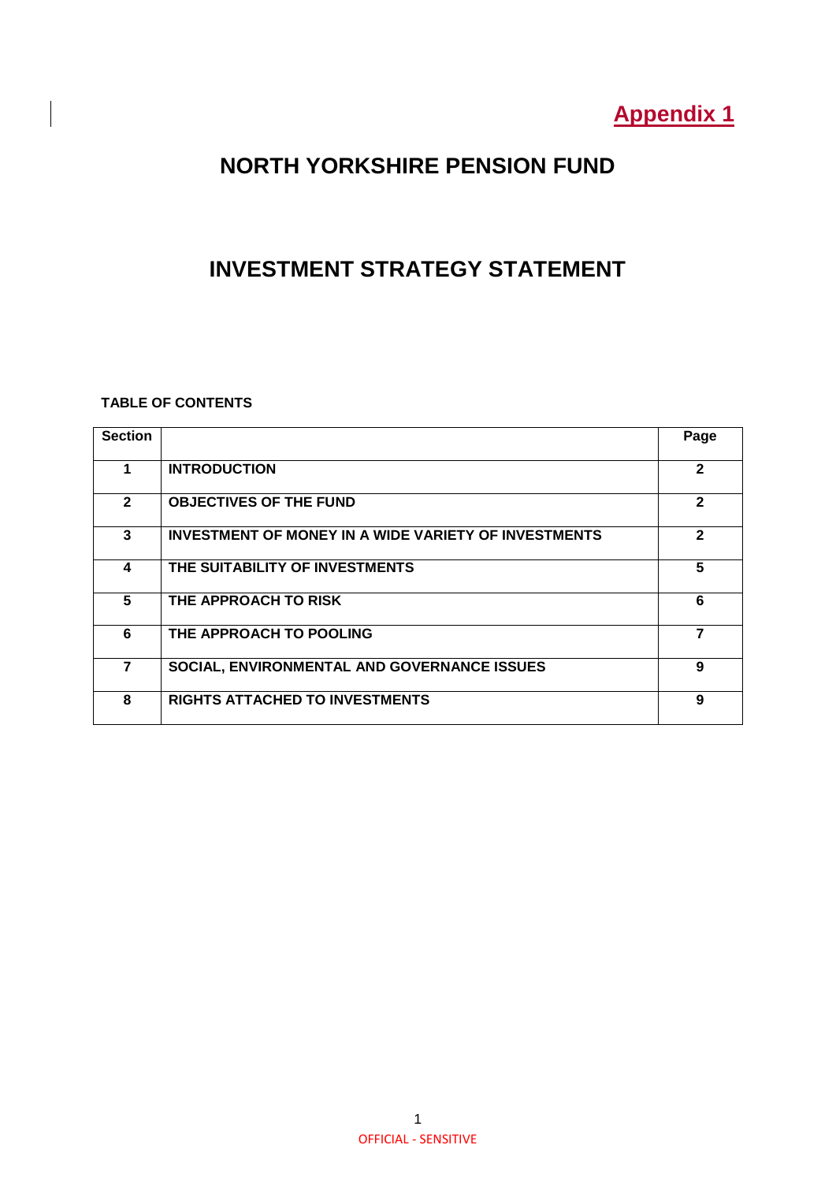# **Appendix 1**

# **NORTH YORKSHIRE PENSION FUND**

## **INVESTMENT STRATEGY STATEMENT**

### **TABLE OF CONTENTS**

| <b>Section</b> |                                                             | Page         |
|----------------|-------------------------------------------------------------|--------------|
|                | <b>INTRODUCTION</b>                                         | $\mathbf{2}$ |
| $\overline{2}$ | <b>OBJECTIVES OF THE FUND</b>                               | $\mathbf{2}$ |
| 3              | <b>INVESTMENT OF MONEY IN A WIDE VARIETY OF INVESTMENTS</b> | $\mathbf{2}$ |
| 4              | THE SUITABILITY OF INVESTMENTS                              | 5            |
| 5              | THE APPROACH TO RISK                                        | 6            |
| 6              | THE APPROACH TO POOLING                                     | 7            |
| 7              | SOCIAL, ENVIRONMENTAL AND GOVERNANCE ISSUES                 | 9            |
| 8              | <b>RIGHTS ATTACHED TO INVESTMENTS</b>                       | 9            |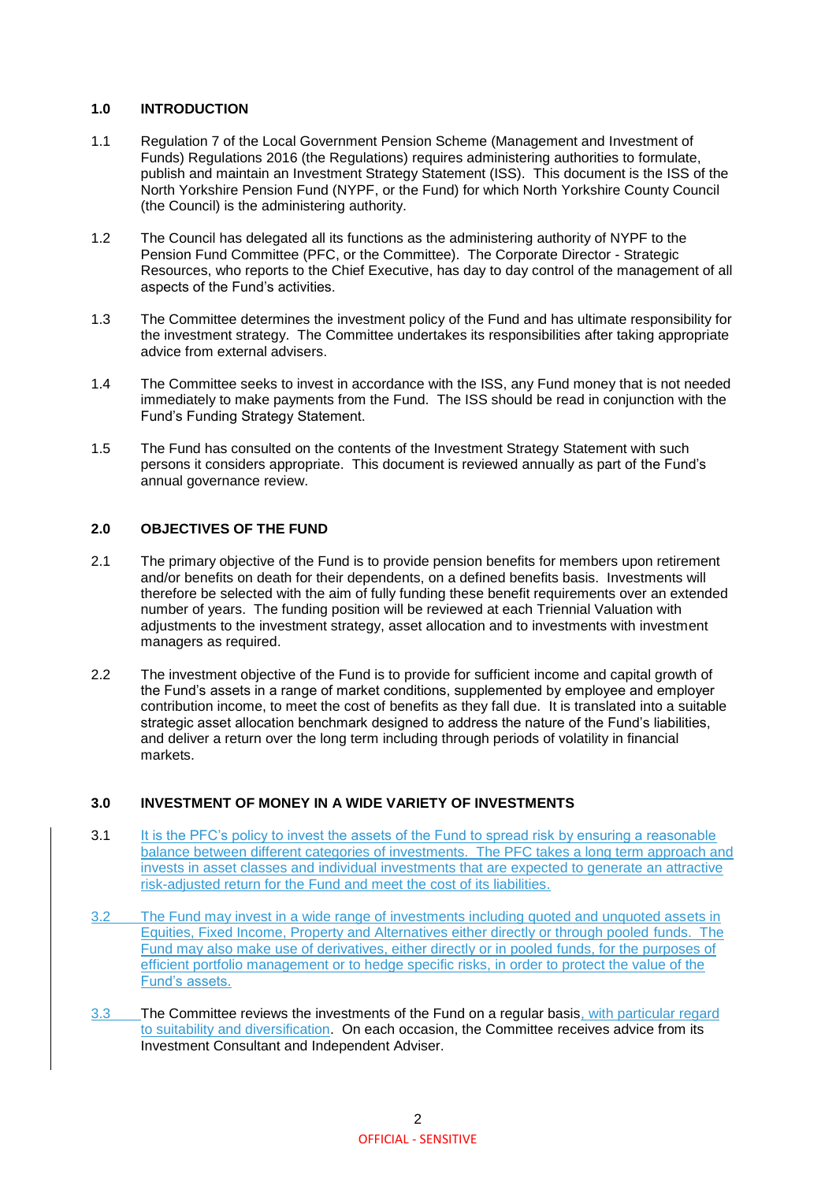#### **1.0 INTRODUCTION**

- 1.1 Regulation 7 of the Local Government Pension Scheme (Management and Investment of Funds) Regulations 2016 (the Regulations) requires administering authorities to formulate, publish and maintain an Investment Strategy Statement (ISS). This document is the ISS of the North Yorkshire Pension Fund (NYPF, or the Fund) for which North Yorkshire County Council (the Council) is the administering authority.
- 1.2 The Council has delegated all its functions as the administering authority of NYPF to the Pension Fund Committee (PFC, or the Committee). The Corporate Director - Strategic Resources, who reports to the Chief Executive, has day to day control of the management of all aspects of the Fund's activities.
- 1.3 The Committee determines the investment policy of the Fund and has ultimate responsibility for the investment strategy. The Committee undertakes its responsibilities after taking appropriate advice from external advisers.
- 1.4 The Committee seeks to invest in accordance with the ISS, any Fund money that is not needed immediately to make payments from the Fund. The ISS should be read in conjunction with the Fund's Funding Strategy Statement.
- 1.5 The Fund has consulted on the contents of the Investment Strategy Statement with such persons it considers appropriate. This document is reviewed annually as part of the Fund's annual governance review.

#### **2.0 OBJECTIVES OF THE FUND**

- 2.1 The primary objective of the Fund is to provide pension benefits for members upon retirement and/or benefits on death for their dependents, on a defined benefits basis. Investments will therefore be selected with the aim of fully funding these benefit requirements over an extended number of years. The funding position will be reviewed at each Triennial Valuation with adjustments to the investment strategy, asset allocation and to investments with investment managers as required.
- 2.2 The investment objective of the Fund is to provide for sufficient income and capital growth of the Fund's assets in a range of market conditions, supplemented by employee and employer contribution income, to meet the cost of benefits as they fall due. It is translated into a suitable strategic asset allocation benchmark designed to address the nature of the Fund's liabilities, and deliver a return over the long term including through periods of volatility in financial markets.

#### **3.0 INVESTMENT OF MONEY IN A WIDE VARIETY OF INVESTMENTS**

- 3.1 It is the PFC's policy to invest the assets of the Fund to spread risk by ensuring a reasonable balance between different categories of investments. The PFC takes a long term approach and invests in asset classes and individual investments that are expected to generate an attractive risk-adjusted return for the Fund and meet the cost of its liabilities.
- 3.2 The Fund may invest in a wide range of investments including quoted and unquoted assets in Equities, Fixed Income, Property and Alternatives either directly or through pooled funds. The Fund may also make use of derivatives, either directly or in pooled funds, for the purposes of efficient portfolio management or to hedge specific risks, in order to protect the value of the Fund's assets.
- 3.3 The Committee reviews the investments of the Fund on a regular basis, with particular regard to suitability and diversification. On each occasion, the Committee receives advice from its Investment Consultant and Independent Adviser.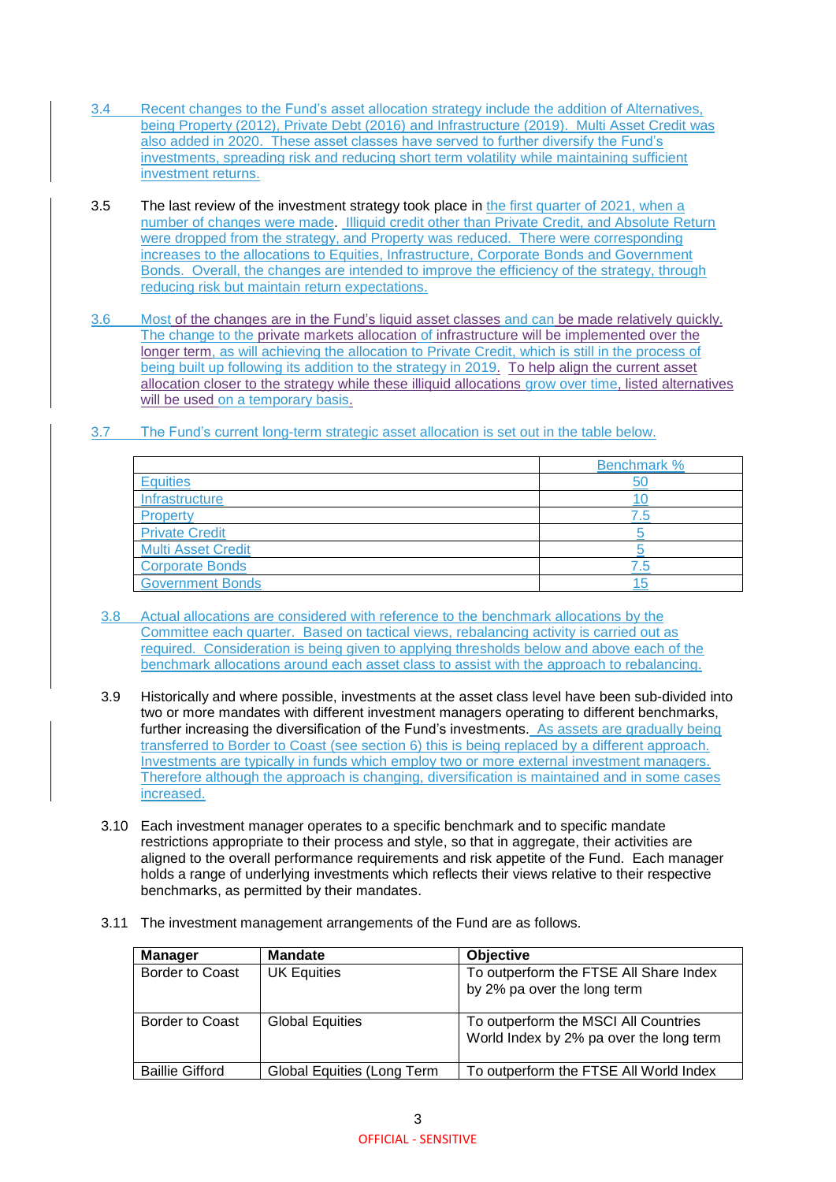- 3.4 Recent changes to the Fund's asset allocation strategy include the addition of Alternatives, being Property (2012), Private Debt (2016) and Infrastructure (2019). Multi Asset Credit was also added in 2020. These asset classes have served to further diversify the Fund's investments, spreading risk and reducing short term volatility while maintaining sufficient investment returns.
- 3.5 The last review of the investment strategy took place in the first quarter of 2021, when a number of changes were made. Illiquid credit other than Private Credit, and Absolute Return were dropped from the strategy, and Property was reduced. There were corresponding increases to the allocations to Equities, Infrastructure, Corporate Bonds and Government Bonds. Overall, the changes are intended to improve the efficiency of the strategy, through reducing risk but maintain return expectations.
- 3.6 Most of the changes are in the Fund's liquid asset classes and can be made relatively quickly. The change to the private markets allocation of infrastructure will be implemented over the longer term, as will achieving the allocation to Private Credit, which is still in the process of being built up following its addition to the strategy in 2019. To help align the current asset allocation closer to the strategy while these illiquid allocations grow over time, listed alternatives will be used on a temporary basis.
- 3.7 The Fund's current long-term strategic asset allocation is set out in the table below.

|                           | <b>Benchmark %</b> |
|---------------------------|--------------------|
| Equities                  | 50                 |
| Infrastructure            |                    |
| Property                  |                    |
| <b>Private Credit</b>     |                    |
| <b>Multi Asset Credit</b> |                    |
| <b>Corporate Bonds</b>    |                    |
| <b>Government Bonds</b>   |                    |

- 3.8 Actual allocations are considered with reference to the benchmark allocations by the Committee each quarter. Based on tactical views, rebalancing activity is carried out as required. Consideration is being given to applying thresholds below and above each of the benchmark allocations around each asset class to assist with the approach to rebalancing.
- 3.9 Historically and where possible, investments at the asset class level have been sub-divided into two or more mandates with different investment managers operating to different benchmarks, further increasing the diversification of the Fund's investments. As assets are gradually being transferred to Border to Coast (see section 6) this is being replaced by a different approach. Investments are typically in funds which employ two or more external investment managers. Therefore although the approach is changing, diversification is maintained and in some cases increased.
- 3.10 Each investment manager operates to a specific benchmark and to specific mandate restrictions appropriate to their process and style, so that in aggregate, their activities are aligned to the overall performance requirements and risk appetite of the Fund. Each manager holds a range of underlying investments which reflects their views relative to their respective benchmarks, as permitted by their mandates.
- 3.11 The investment management arrangements of the Fund are as follows.

| <b>Manager</b>         | <b>Mandate</b>             | <b>Objective</b>                                                                |
|------------------------|----------------------------|---------------------------------------------------------------------------------|
| <b>Border to Coast</b> | UK Equities                | To outperform the FTSE All Share Index<br>by 2% pa over the long term           |
| Border to Coast        | <b>Global Equities</b>     | To outperform the MSCI All Countries<br>World Index by 2% pa over the long term |
| <b>Baillie Gifford</b> | Global Equities (Long Term | To outperform the FTSE All World Index                                          |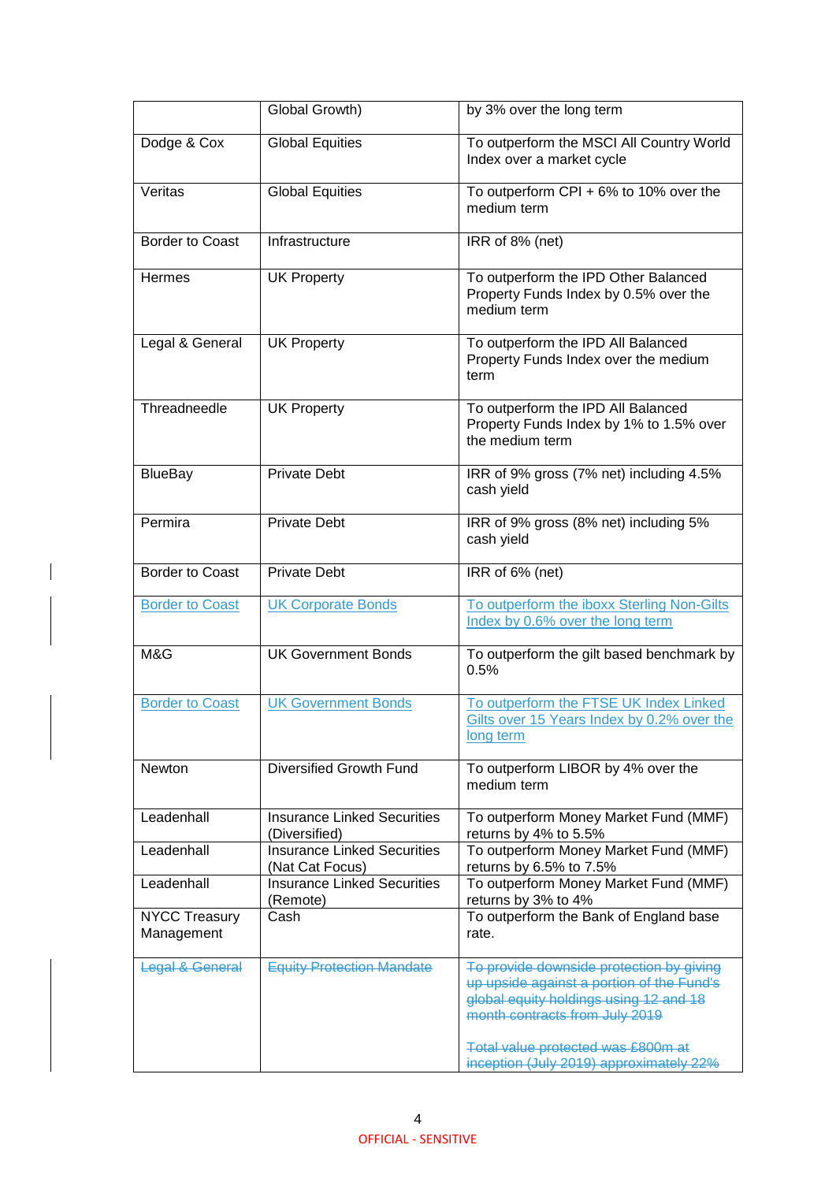|                                    | Global Growth)                                        | by 3% over the long term                                                                                                                                                                                |
|------------------------------------|-------------------------------------------------------|---------------------------------------------------------------------------------------------------------------------------------------------------------------------------------------------------------|
| Dodge & Cox                        | <b>Global Equities</b>                                | To outperform the MSCI All Country World<br>Index over a market cycle                                                                                                                                   |
| Veritas                            | <b>Global Equities</b>                                | To outperform CPI + $6\%$ to 10% over the<br>medium term                                                                                                                                                |
| <b>Border to Coast</b>             | Infrastructure                                        | IRR of 8% (net)                                                                                                                                                                                         |
| Hermes                             | <b>UK Property</b>                                    | To outperform the IPD Other Balanced<br>Property Funds Index by 0.5% over the<br>medium term                                                                                                            |
| Legal & General                    | <b>UK Property</b>                                    | To outperform the IPD All Balanced<br>Property Funds Index over the medium<br>term                                                                                                                      |
| Threadneedle                       | <b>UK Property</b>                                    | To outperform the IPD All Balanced<br>Property Funds Index by 1% to 1.5% over<br>the medium term                                                                                                        |
| <b>BlueBay</b>                     | <b>Private Debt</b>                                   | IRR of 9% gross (7% net) including 4.5%<br>cash yield                                                                                                                                                   |
| Permira                            | <b>Private Debt</b>                                   | IRR of 9% gross (8% net) including 5%<br>cash yield                                                                                                                                                     |
| <b>Border to Coast</b>             | <b>Private Debt</b>                                   | IRR of 6% (net)                                                                                                                                                                                         |
| <b>Border to Coast</b>             | <b>UK Corporate Bonds</b>                             | To outperform the iboxx Sterling Non-Gilts<br>Index by 0.6% over the long term                                                                                                                          |
| M&G                                | <b>UK Government Bonds</b>                            | To outperform the gilt based benchmark by<br>0.5%                                                                                                                                                       |
| <b>Border to Coast</b>             | <b>UK Government Bonds</b>                            | To outperform the FTSE UK Index Linked<br>Gilts over 15 Years Index by 0.2% over the<br>long term                                                                                                       |
| Newton                             | Diversified Growth Fund                               | To outperform LIBOR by 4% over the<br>medium term                                                                                                                                                       |
| Leadenhall                         | <b>Insurance Linked Securities</b><br>(Diversified)   | To outperform Money Market Fund (MMF)<br>returns by 4% to 5.5%                                                                                                                                          |
| Leadenhall                         | <b>Insurance Linked Securities</b><br>(Nat Cat Focus) | To outperform Money Market Fund (MMF)<br>returns by 6.5% to 7.5%                                                                                                                                        |
| Leadenhall                         | <b>Insurance Linked Securities</b><br>(Remote)        | To outperform Money Market Fund (MMF)<br>returns by 3% to 4%                                                                                                                                            |
| <b>NYCC Treasury</b><br>Management | Cash                                                  | To outperform the Bank of England base<br>rate.                                                                                                                                                         |
| Legal & General                    | <b>Equity Protection Mandate</b>                      | To provide downside protection by giving<br>up upside against a portion of the Fund's<br>global equity holdings using 12 and 18<br>month contracts from July 2019<br>Total value protected was £800m at |
|                                    |                                                       | inception (July 2019) approximately 22%                                                                                                                                                                 |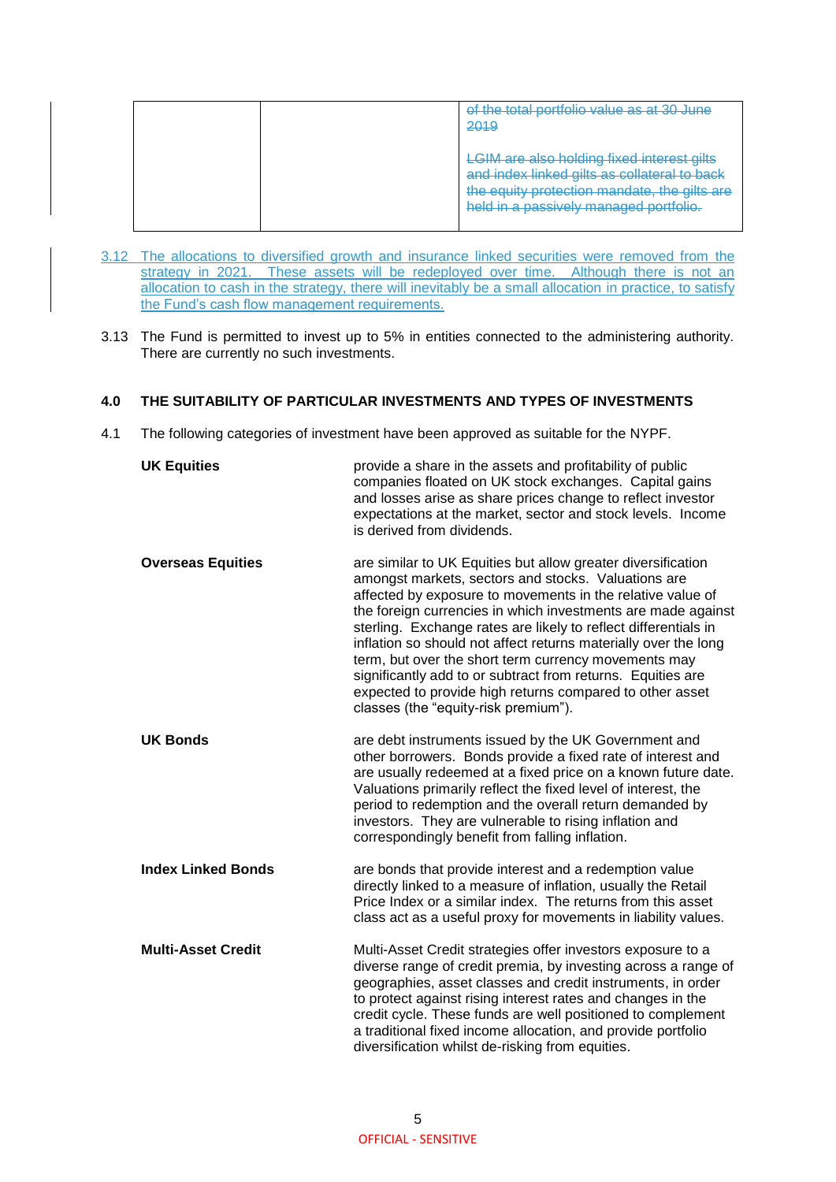|  | of the total portfolio value as at 30 June<br>2019                                                                                                                                    |
|--|---------------------------------------------------------------------------------------------------------------------------------------------------------------------------------------|
|  | <b>LGIM are also holding fixed interest gilts</b><br>dex linked gilts as collateral to back<br>the equity protection mandate, the gilts are<br>held in a passively managed portfolio. |

- 3.12 The allocations to diversified growth and insurance linked securities were removed from the strategy in 2021. These assets will be redeployed over time. Although there is not an allocation to cash in the strategy, there will inevitably be a small allocation in practice, to satisfy the Fund's cash flow management requirements.
- 3.13 The Fund is permitted to invest up to 5% in entities connected to the administering authority. There are currently no such investments.

#### **4.0 THE SUITABILITY OF PARTICULAR INVESTMENTS AND TYPES OF INVESTMENTS**

4.1 The following categories of investment have been approved as suitable for the NYPF.

| <b>UK Equities</b>        | provide a share in the assets and profitability of public<br>companies floated on UK stock exchanges. Capital gains<br>and losses arise as share prices change to reflect investor<br>expectations at the market, sector and stock levels. Income<br>is derived from dividends.                                                                                                                                                                                                                                                                                                                                    |
|---------------------------|--------------------------------------------------------------------------------------------------------------------------------------------------------------------------------------------------------------------------------------------------------------------------------------------------------------------------------------------------------------------------------------------------------------------------------------------------------------------------------------------------------------------------------------------------------------------------------------------------------------------|
| <b>Overseas Equities</b>  | are similar to UK Equities but allow greater diversification<br>amongst markets, sectors and stocks. Valuations are<br>affected by exposure to movements in the relative value of<br>the foreign currencies in which investments are made against<br>sterling. Exchange rates are likely to reflect differentials in<br>inflation so should not affect returns materially over the long<br>term, but over the short term currency movements may<br>significantly add to or subtract from returns. Equities are<br>expected to provide high returns compared to other asset<br>classes (the "equity-risk premium"). |
| <b>UK Bonds</b>           | are debt instruments issued by the UK Government and<br>other borrowers. Bonds provide a fixed rate of interest and<br>are usually redeemed at a fixed price on a known future date.<br>Valuations primarily reflect the fixed level of interest, the<br>period to redemption and the overall return demanded by<br>investors. They are vulnerable to rising inflation and<br>correspondingly benefit from falling inflation.                                                                                                                                                                                      |
| <b>Index Linked Bonds</b> | are bonds that provide interest and a redemption value<br>directly linked to a measure of inflation, usually the Retail<br>Price Index or a similar index. The returns from this asset<br>class act as a useful proxy for movements in liability values.                                                                                                                                                                                                                                                                                                                                                           |
| <b>Multi-Asset Credit</b> | Multi-Asset Credit strategies offer investors exposure to a<br>diverse range of credit premia, by investing across a range of<br>geographies, asset classes and credit instruments, in order<br>to protect against rising interest rates and changes in the<br>credit cycle. These funds are well positioned to complement<br>a traditional fixed income allocation, and provide portfolio<br>diversification whilst de-risking from equities.                                                                                                                                                                     |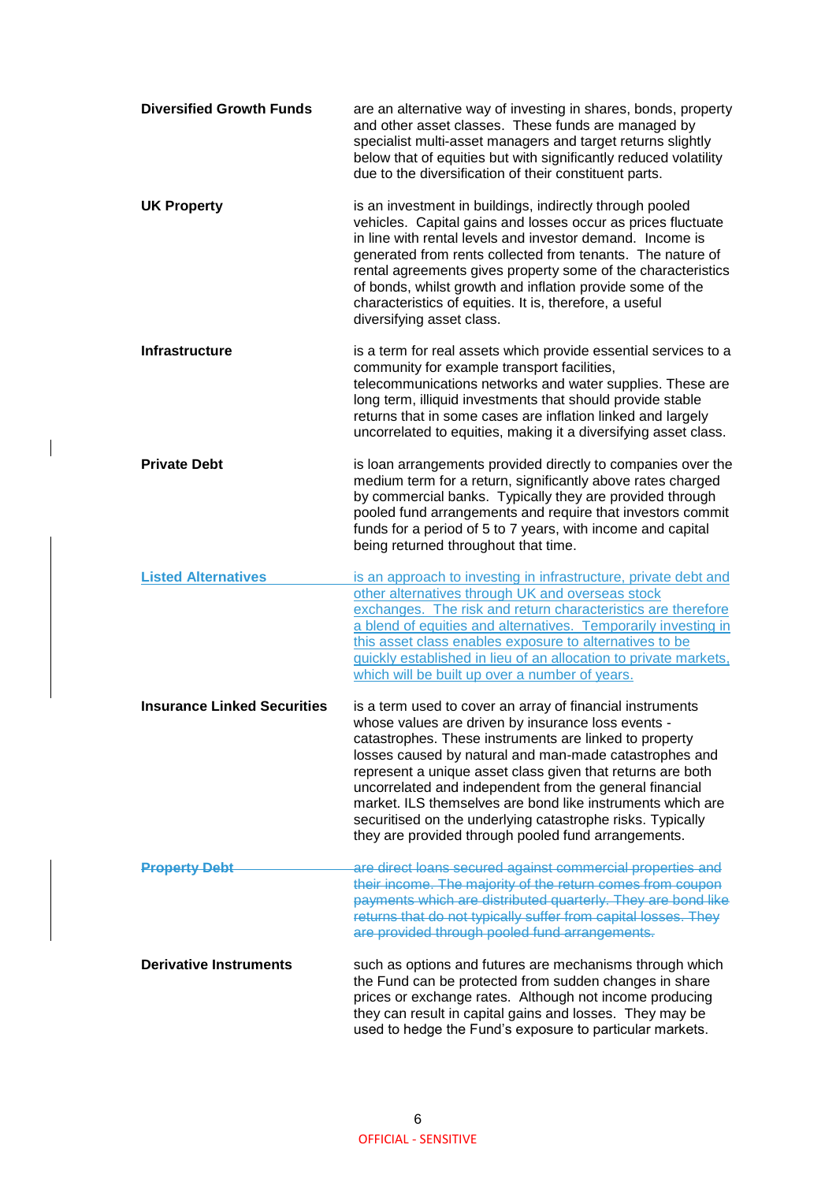| <b>Diversified Growth Funds</b>    | are an alternative way of investing in shares, bonds, property<br>and other asset classes. These funds are managed by<br>specialist multi-asset managers and target returns slightly<br>below that of equities but with significantly reduced volatility<br>due to the diversification of their constituent parts.                                                                                                                                                                                                                              |
|------------------------------------|-------------------------------------------------------------------------------------------------------------------------------------------------------------------------------------------------------------------------------------------------------------------------------------------------------------------------------------------------------------------------------------------------------------------------------------------------------------------------------------------------------------------------------------------------|
| <b>UK Property</b>                 | is an investment in buildings, indirectly through pooled<br>vehicles. Capital gains and losses occur as prices fluctuate<br>in line with rental levels and investor demand. Income is<br>generated from rents collected from tenants. The nature of<br>rental agreements gives property some of the characteristics<br>of bonds, whilst growth and inflation provide some of the<br>characteristics of equities. It is, therefore, a useful<br>diversifying asset class.                                                                        |
| <b>Infrastructure</b>              | is a term for real assets which provide essential services to a<br>community for example transport facilities,<br>telecommunications networks and water supplies. These are<br>long term, illiquid investments that should provide stable<br>returns that in some cases are inflation linked and largely<br>uncorrelated to equities, making it a diversifying asset class.                                                                                                                                                                     |
| <b>Private Debt</b>                | is loan arrangements provided directly to companies over the<br>medium term for a return, significantly above rates charged<br>by commercial banks. Typically they are provided through<br>pooled fund arrangements and require that investors commit<br>funds for a period of 5 to 7 years, with income and capital<br>being returned throughout that time.                                                                                                                                                                                    |
| <b>Listed Alternatives</b>         | is an approach to investing in infrastructure, private debt and<br>other alternatives through UK and overseas stock<br>exchanges. The risk and return characteristics are therefore<br>a blend of equities and alternatives. Temporarily investing in<br>this asset class enables exposure to alternatives to be<br>quickly established in lieu of an allocation to private markets,<br>which will be built up over a number of years.                                                                                                          |
| <b>Insurance Linked Securities</b> | is a term used to cover an array of financial instruments<br>whose values are driven by insurance loss events -<br>catastrophes. These instruments are linked to property<br>losses caused by natural and man-made catastrophes and<br>represent a unique asset class given that returns are both<br>uncorrelated and independent from the general financial<br>market. ILS themselves are bond like instruments which are<br>securitised on the underlying catastrophe risks. Typically<br>they are provided through pooled fund arrangements. |
| <b>Property Debt</b>               | are direct loans secured against commercial properties and<br>their income. The majority of the return comes from coupon<br>payments which are distributed quarterly. They are bond like<br>returns that do not typically suffer from capital losses. They<br>are provided through pooled fund arrangements.                                                                                                                                                                                                                                    |
| <b>Derivative Instruments</b>      | such as options and futures are mechanisms through which<br>the Fund can be protected from sudden changes in share<br>prices or exchange rates. Although not income producing<br>they can result in capital gains and losses. They may be<br>used to hedge the Fund's exposure to particular markets.                                                                                                                                                                                                                                           |

 $\overline{\phantom{a}}$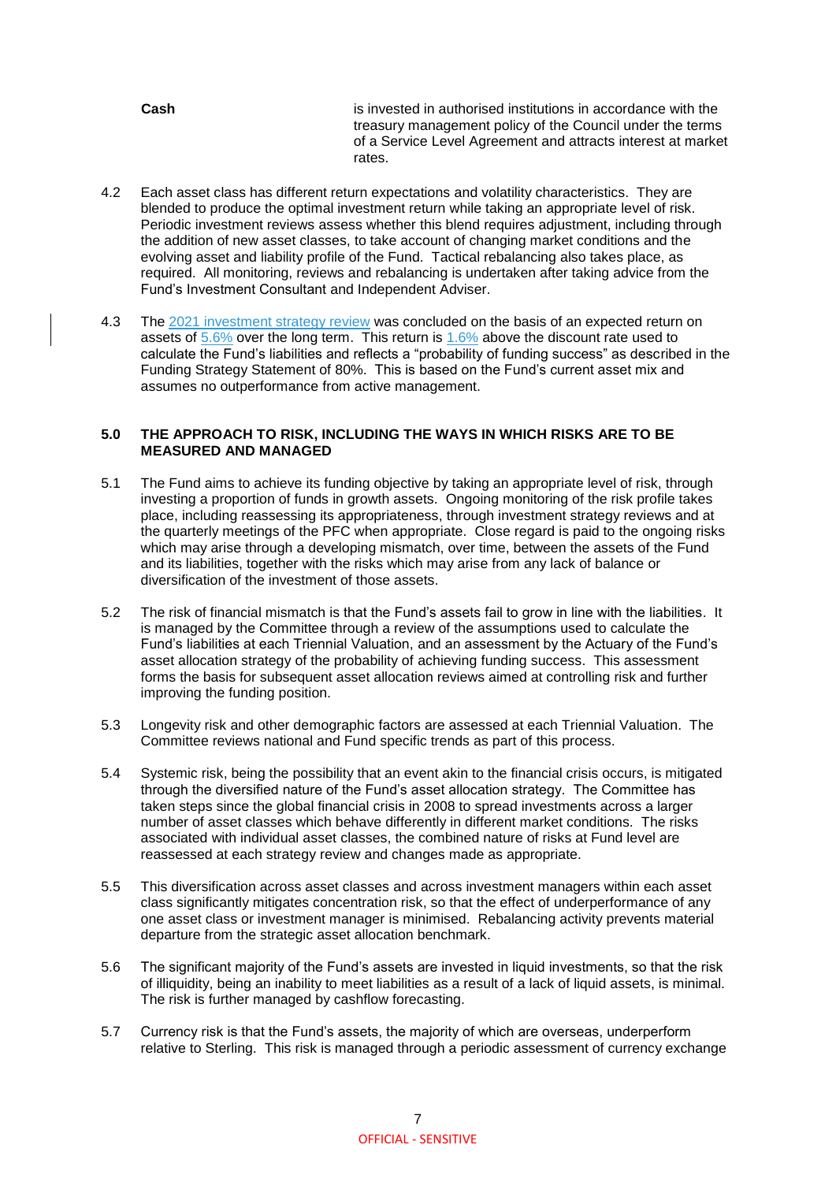**Cash** is invested in authorised institutions in accordance with the treasury management policy of the Council under the terms of a Service Level Agreement and attracts interest at market rates.

- 4.2 Each asset class has different return expectations and volatility characteristics. They are blended to produce the optimal investment return while taking an appropriate level of risk. Periodic investment reviews assess whether this blend requires adjustment, including through the addition of new asset classes, to take account of changing market conditions and the evolving asset and liability profile of the Fund. Tactical rebalancing also takes place, as required. All monitoring, reviews and rebalancing is undertaken after taking advice from the Fund's Investment Consultant and Independent Adviser.
- 4.3 The 2021 investment strategy review was concluded on the basis of an expected return on assets of 5.6% over the long term. This return is 1.6% above the discount rate used to calculate the Fund's liabilities and reflects a "probability of funding success" as described in the Funding Strategy Statement of 80%. This is based on the Fund's current asset mix and assumes no outperformance from active management.

#### **5.0 THE APPROACH TO RISK, INCLUDING THE WAYS IN WHICH RISKS ARE TO BE MEASURED AND MANAGED**

- 5.1 The Fund aims to achieve its funding objective by taking an appropriate level of risk, through investing a proportion of funds in growth assets. Ongoing monitoring of the risk profile takes place, including reassessing its appropriateness, through investment strategy reviews and at the quarterly meetings of the PFC when appropriate. Close regard is paid to the ongoing risks which may arise through a developing mismatch, over time, between the assets of the Fund and its liabilities, together with the risks which may arise from any lack of balance or diversification of the investment of those assets.
- 5.2 The risk of financial mismatch is that the Fund's assets fail to grow in line with the liabilities. It is managed by the Committee through a review of the assumptions used to calculate the Fund's liabilities at each Triennial Valuation, and an assessment by the Actuary of the Fund's asset allocation strategy of the probability of achieving funding success. This assessment forms the basis for subsequent asset allocation reviews aimed at controlling risk and further improving the funding position.
- 5.3 Longevity risk and other demographic factors are assessed at each Triennial Valuation. The Committee reviews national and Fund specific trends as part of this process.
- 5.4 Systemic risk, being the possibility that an event akin to the financial crisis occurs, is mitigated through the diversified nature of the Fund's asset allocation strategy. The Committee has taken steps since the global financial crisis in 2008 to spread investments across a larger number of asset classes which behave differently in different market conditions. The risks associated with individual asset classes, the combined nature of risks at Fund level are reassessed at each strategy review and changes made as appropriate.
- 5.5 This diversification across asset classes and across investment managers within each asset class significantly mitigates concentration risk, so that the effect of underperformance of any one asset class or investment manager is minimised. Rebalancing activity prevents material departure from the strategic asset allocation benchmark.
- 5.6 The significant majority of the Fund's assets are invested in liquid investments, so that the risk of illiquidity, being an inability to meet liabilities as a result of a lack of liquid assets, is minimal. The risk is further managed by cashflow forecasting.
- 5.7 Currency risk is that the Fund's assets, the majority of which are overseas, underperform relative to Sterling. This risk is managed through a periodic assessment of currency exchange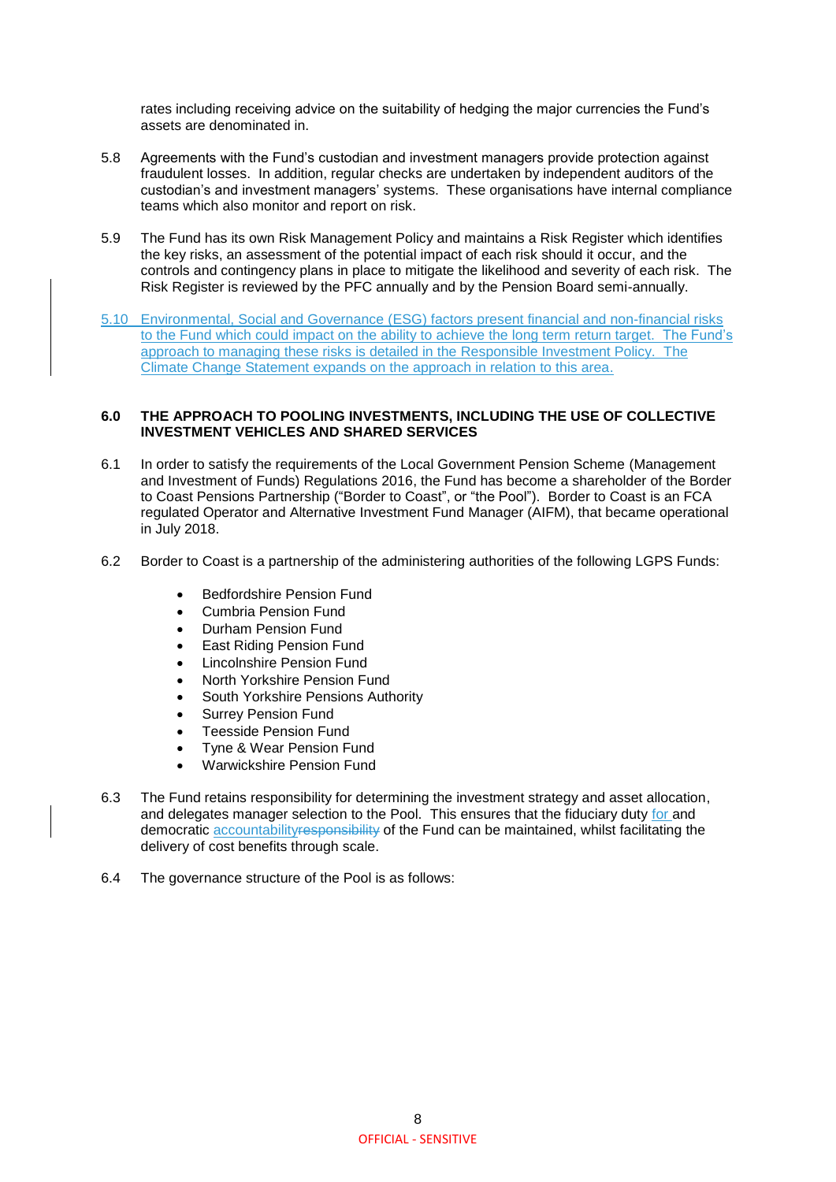rates including receiving advice on the suitability of hedging the major currencies the Fund's assets are denominated in.

- 5.8 Agreements with the Fund's custodian and investment managers provide protection against fraudulent losses. In addition, regular checks are undertaken by independent auditors of the custodian's and investment managers' systems. These organisations have internal compliance teams which also monitor and report on risk.
- 5.9 The Fund has its own Risk Management Policy and maintains a Risk Register which identifies the key risks, an assessment of the potential impact of each risk should it occur, and the controls and contingency plans in place to mitigate the likelihood and severity of each risk. The Risk Register is reviewed by the PFC annually and by the Pension Board semi-annually.
- 5.10 Environmental, Social and Governance (ESG) factors present financial and non-financial risks to the Fund which could impact on the ability to achieve the long term return target. The Fund's approach to managing these risks is detailed in the Responsible Investment Policy. The Climate Change Statement expands on the approach in relation to this area.

#### **6.0 THE APPROACH TO POOLING INVESTMENTS, INCLUDING THE USE OF COLLECTIVE INVESTMENT VEHICLES AND SHARED SERVICES**

- 6.1 In order to satisfy the requirements of the Local Government Pension Scheme (Management and Investment of Funds) Regulations 2016, the Fund has become a shareholder of the Border to Coast Pensions Partnership ("Border to Coast", or "the Pool"). Border to Coast is an FCA regulated Operator and Alternative Investment Fund Manager (AIFM), that became operational in July 2018.
- 6.2 Border to Coast is a partnership of the administering authorities of the following LGPS Funds:
	- Bedfordshire Pension Fund
	- Cumbria Pension Fund
	- Durham Pension Fund
	- East Riding Pension Fund
	- Lincolnshire Pension Fund
	- North Yorkshire Pension Fund
	- South Yorkshire Pensions Authority
	- Surrey Pension Fund
	- Teesside Pension Fund
	- Tyne & Wear Pension Fund
	- Warwickshire Pension Fund
- 6.3 The Fund retains responsibility for determining the investment strategy and asset allocation, and delegates manager selection to the Pool. This ensures that the fiduciary duty for and democratic accountability responsibility of the Fund can be maintained, whilst facilitating the delivery of cost benefits through scale.
- 6.4 The governance structure of the Pool is as follows: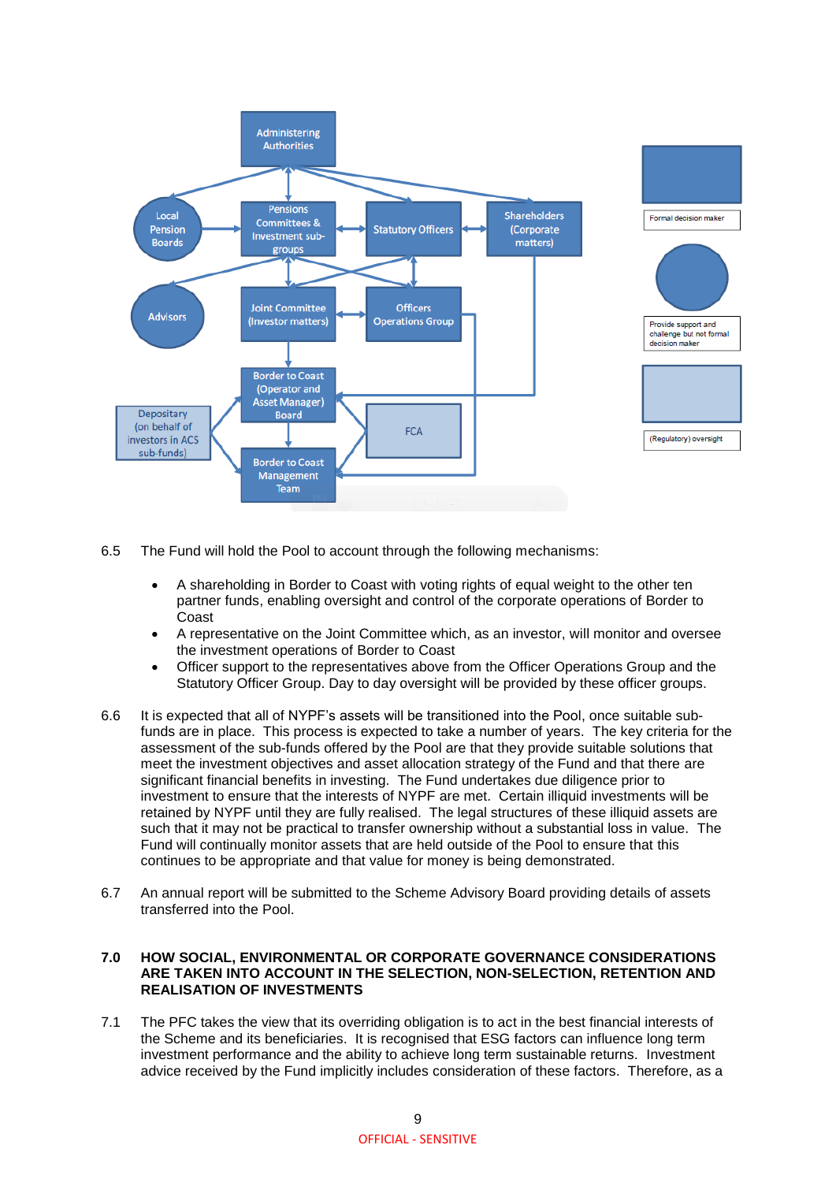

6.5 The Fund will hold the Pool to account through the following mechanisms:

- A shareholding in Border to Coast with voting rights of equal weight to the other ten partner funds, enabling oversight and control of the corporate operations of Border to Coast
- A representative on the Joint Committee which, as an investor, will monitor and oversee the investment operations of Border to Coast
- Officer support to the representatives above from the Officer Operations Group and the Statutory Officer Group. Day to day oversight will be provided by these officer groups.
- 6.6 It is expected that all of NYPF's assets will be transitioned into the Pool, once suitable subfunds are in place. This process is expected to take a number of years. The key criteria for the assessment of the sub-funds offered by the Pool are that they provide suitable solutions that meet the investment objectives and asset allocation strategy of the Fund and that there are significant financial benefits in investing. The Fund undertakes due diligence prior to investment to ensure that the interests of NYPF are met. Certain illiquid investments will be retained by NYPF until they are fully realised. The legal structures of these illiquid assets are such that it may not be practical to transfer ownership without a substantial loss in value. The Fund will continually monitor assets that are held outside of the Pool to ensure that this continues to be appropriate and that value for money is being demonstrated.
- 6.7 An annual report will be submitted to the Scheme Advisory Board providing details of assets transferred into the Pool.

#### **7.0 HOW SOCIAL, ENVIRONMENTAL OR CORPORATE GOVERNANCE CONSIDERATIONS ARE TAKEN INTO ACCOUNT IN THE SELECTION, NON-SELECTION, RETENTION AND REALISATION OF INVESTMENTS**

7.1 The PFC takes the view that its overriding obligation is to act in the best financial interests of the Scheme and its beneficiaries. It is recognised that ESG factors can influence long term investment performance and the ability to achieve long term sustainable returns. Investment advice received by the Fund implicitly includes consideration of these factors. Therefore, as a